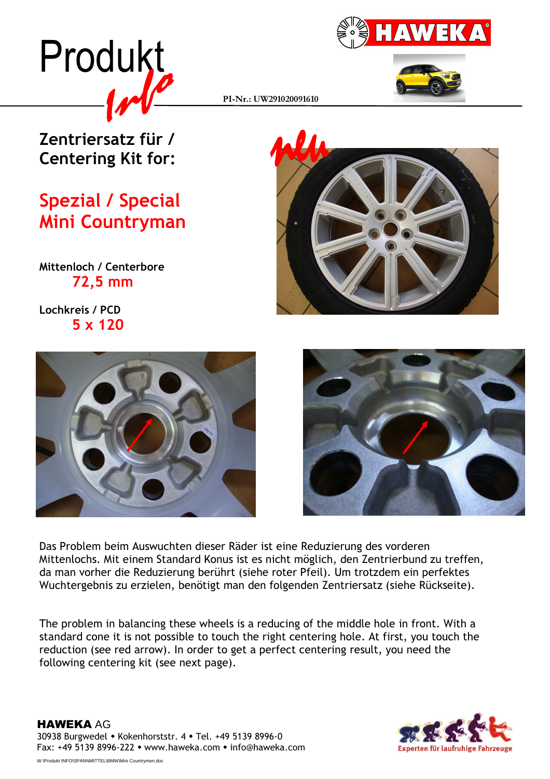





PI-Nr.: UW291020091610

## Zentriersatz für / Centering Kit for:

## Spezial / Special Mini Countryman

Mittenloch / Centerbore 72,5 mm

Lochkreis / PCD 5 x 120







Das Problem beim Auswuchten dieser Räder ist eine Reduzierung des vorderen Mittenlochs. Mit einem Standard Konus ist es nicht möglich, den Zentrierbund zu treffen, da man vorher die Reduzierung berührt (siehe roter Pfeil). Um trotzdem ein perfektes Wuchtergebnis zu erzielen, benötigt man den folgenden Zentriersatz (siehe Rückseite).

The problem in balancing these wheels is a reducing of the middle hole in front. With a standard cone it is not possible to touch the right centering hole. At first, you touch the reduction (see red arrow). In order to get a perfect centering result, you need the following centering kit (see next page).